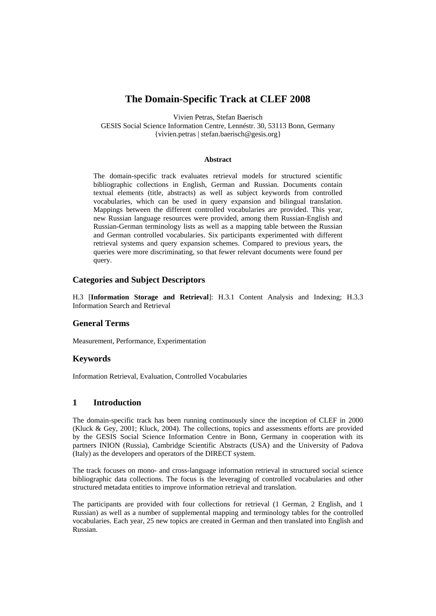# **The Domain-Specific Track at CLEF 2008**

Vivien Petras, Stefan Baerisch

GESIS Social Science Information Centre, Lennéstr. 30, 53113 Bonn, Germany {vivien.petras | stefan.baerisch@gesis.org}

#### **Abstract**

The domain-specific track evaluates retrieval models for structured scientific bibliographic collections in English, German and Russian. Documents contain textual elements (title, abstracts) as well as subject keywords from controlled vocabularies, which can be used in query expansion and bilingual translation. Mappings between the different controlled vocabularies are provided. This year, new Russian language resources were provided, among them Russian-English and Russian-German terminology lists as well as a mapping table between the Russian and German controlled vocabularies. Six participants experimented with different retrieval systems and query expansion schemes. Compared to previous years, the queries were more discriminating, so that fewer relevant documents were found per query.

#### **Categories and Subject Descriptors**

H.3 [**Information Storage and Retrieval**]: H.3.1 Content Analysis and Indexing; H.3.3 Information Search and Retrieval

### **General Terms**

Measurement, Performance, Experimentation

### **Keywords**

Information Retrieval, Evaluation, Controlled Vocabularies

### **1 Introduction**

The domain-specific track has been running continuously since the inception of CLEF in 2000 (Kluck & Gey, 2001; Kluck, 2004). The collections, topics and assessments efforts are provided by the GESIS Social Science Information Centre in Bonn, Germany in cooperation with its partners INION (Russia), Cambridge Scientific Abstracts (USA) and the University of Padova (Italy) as the developers and operators of the DIRECT system.

The track focuses on mono- and cross-language information retrieval in structured social science bibliographic data collections. The focus is the leveraging of controlled vocabularies and other structured metadata entities to improve information retrieval and translation.

The participants are provided with four collections for retrieval (1 German, 2 English, and 1 Russian) as well as a number of supplemental mapping and terminology tables for the controlled vocabularies. Each year, 25 new topics are created in German and then translated into English and Russian.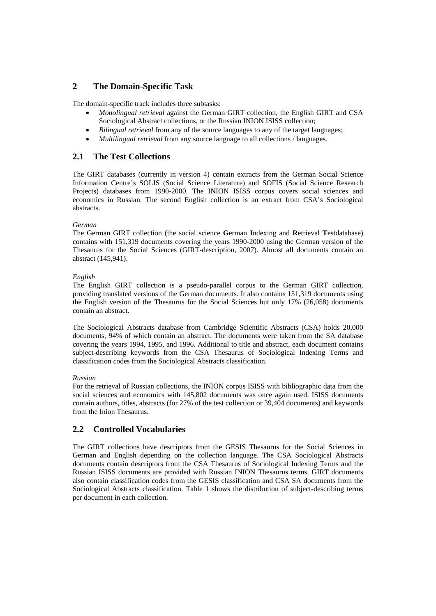# **2 The Domain-Specific Task**

The domain-specific track includes three subtasks:

- *Monolingual retrieval* against the German GIRT collection, the English GIRT and CSA Sociological Abstract collections, or the Russian INION ISISS collection;
- *Bilingual retrieval* from any of the source languages to any of the target languages;
- *Multilingual retrieval* from any source language to all collections / languages.

### **2.1 The Test Collections**

The GIRT databases (currently in version 4) contain extracts from the German Social Science Information Centre's SOLIS (Social Science Literature) and SOFIS (Social Science Research Projects) databases from 1990-2000. The INION ISISS corpus covers social sciences and economics in Russian. The second English collection is an extract from CSA's Sociological abstracts.

#### *German*

The German GIRT collection (the social science **G**erman **I**ndexing and **R**etrieval **T**estdatabase) contains with 151,319 documents covering the years 1990-2000 using the German version of the Thesaurus for the Social Sciences (GIRT-description, 2007). Almost all documents contain an abstract (145,941).

#### *English*

The English GIRT collection is a pseudo-parallel corpus to the German GIRT collection, providing translated versions of the German documents. It also contains 151,319 documents using the English version of the Thesaurus for the Social Sciences but only 17% (26,058) documents contain an abstract.

The Sociological Abstracts database from Cambridge Scientific Abstracts (CSA) holds 20,000 documents, 94% of which contain an abstract. The documents were taken from the SA database covering the years 1994, 1995, and 1996. Additional to title and abstract, each document contains subject-describing keywords from the CSA Thesaurus of Sociological Indexing Terms and classification codes from the Sociological Abstracts classification.

#### *Russian*

For the retrieval of Russian collections, the INION corpus ISISS with bibliographic data from the social sciences and economics with 145,802 documents was once again used. ISISS documents contain authors, titles, abstracts (for 27% of the test collection or 39,404 documents) and keywords from the Inion Thesaurus.

# **2.2 Controlled Vocabularies**

The GIRT collections have descriptors from the GESIS Thesaurus for the Social Sciences in German and English depending on the collection language. The CSA Sociological Abstracts documents contain descriptors from the CSA Thesaurus of Sociological Indexing Terms and the Russian ISISS documents are provided with Russian INION Thesaurus terms. GIRT documents also contain classification codes from the GESIS classification and CSA SA documents from the Sociological Abstracts classification. Table 1 shows the distribution of subject-describing terms per document in each collection.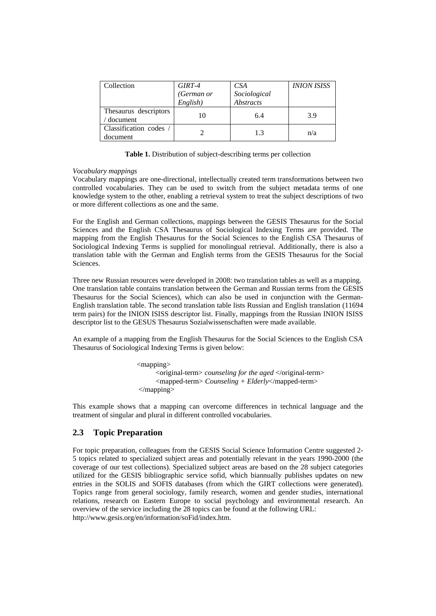| Collection            | GIRT-4     | CSA              | <b>INION ISISS</b> |
|-----------------------|------------|------------------|--------------------|
|                       | (German or | Sociological     |                    |
|                       | English)   | <b>Abstracts</b> |                    |
| Thesaurus descriptors | 10         | 6.4              | 3.9                |
| document              |            |                  |                    |
| Classification codes  |            | 1.3              |                    |
| document              |            |                  | n/a                |

**Table 1.** Distribution of subject-describing terms per collection

#### *Vocabulary mappings*

Vocabulary mappings are one-directional, intellectually created term transformations between two controlled vocabularies. They can be used to switch from the subject metadata terms of one knowledge system to the other, enabling a retrieval system to treat the subject descriptions of two or more different collections as one and the same.

For the English and German collections, mappings between the GESIS Thesaurus for the Social Sciences and the English CSA Thesaurus of Sociological Indexing Terms are provided. The mapping from the English Thesaurus for the Social Sciences to the English CSA Thesaurus of Sociological Indexing Terms is supplied for monolingual retrieval. Additionally, there is also a translation table with the German and English terms from the GESIS Thesaurus for the Social Sciences.

Three new Russian resources were developed in 2008: two translation tables as well as a mapping. One translation table contains translation between the German and Russian terms from the GESIS Thesaurus for the Social Sciences), which can also be used in conjunction with the German-English translation table. The second translation table lists Russian and English translation (11694 term pairs) for the INION ISISS descriptor list. Finally, mappings from the Russian INION ISISS descriptor list to the GESUS Thesaurus Sozialwissenschaften were made available.

An example of a mapping from the English Thesaurus for the Social Sciences to the English CSA Thesaurus of Sociological Indexing Terms is given below:

> <mapping> <original-term> *counseling for the aged* </original-term> <mapped-term> *Counseling + Elderly*</mapped-term> </mapping>

This example shows that a mapping can overcome differences in technical language and the treatment of singular and plural in different controlled vocabularies.

# **2.3 Topic Preparation**

For topic preparation, colleagues from the GESIS Social Science Information Centre suggested 2- 5 topics related to specialized subject areas and potentially relevant in the years 1990-2000 (the coverage of our test collections). Specialized subject areas are based on the 28 subject categories utilized for the GESIS bibliographic service sofid, which biannually publishes updates on new entries in the SOLIS and SOFIS databases (from which the GIRT collections were generated). Topics range from general sociology, family research, women and gender studies, international relations, research on Eastern Europe to social psychology and environmental research. An overview of the service including the 28 topics can be found at the following URL: http://www.gesis.org/en/information/soFid/index.htm.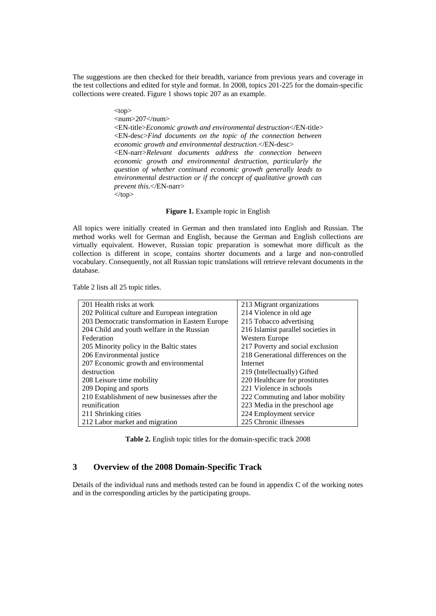The suggestions are then checked for their breadth, variance from previous years and coverage in the test collections and edited for style and format. In 2008, topics 201-225 for the domain-specific collections were created. Figure 1 shows topic 207 as an example.

 $\n  
\n
$$
\text{top} > \text{min}
$$$ 

 $\langle$ num $>$ 207 $\langle$ num $>$ 

 <EN-title>*Economic growth and environmental destruction*</EN-title> <EN-desc>*Find documents on the topic of the connection between economic growth and environmental destruction*.</EN-desc> <EN-narr>*Relevant documents address the connection between economic growth and environmental destruction, particularly the question of whether continued economic growth generally leads to environmental destruction or if the concept of qualitative growth can prevent this*.</EN-narr>  $\langle$ top>

#### **Figure 1.** Example topic in English

All topics were initially created in German and then translated into English and Russian. The method works well for German and English, because the German and English collections are virtually equivalent. However, Russian topic preparation is somewhat more difficult as the collection is different in scope, contains shorter documents and a large and non-controlled vocabulary. Consequently, not all Russian topic translations will retrieve relevant documents in the database.

Table 2 lists all 25 topic titles.

| 201 Health risks at work                        | 213 Migrant organizations           |
|-------------------------------------------------|-------------------------------------|
| 202 Political culture and European integration  | 214 Violence in old age             |
| 203 Democratic transformation in Eastern Europe | 215 Tobacco advertising             |
| 204 Child and youth welfare in the Russian      | 216 Islamist parallel societies in  |
| Federation                                      | Western Europe                      |
| 205 Minority policy in the Baltic states        | 217 Poverty and social exclusion    |
| 206 Environmental justice                       | 218 Generational differences on the |
| 207 Economic growth and environmental           | Internet                            |
| destruction                                     | 219 (Intellectually) Gifted         |
| 208 Leisure time mobility                       | 220 Healthcare for prostitutes      |
| 209 Doping and sports                           | 221 Violence in schools             |
| 210 Establishment of new businesses after the   | 222 Commuting and labor mobility    |
| reunification                                   | 223 Media in the preschool age      |
| 211 Shrinking cities                            | 224 Employment service              |
| 212 Labor market and migration                  | 225 Chronic illnesses               |

**Table 2.** English topic titles for the domain-specific track 2008

### **3 Overview of the 2008 Domain-Specific Track**

Details of the individual runs and methods tested can be found in appendix C of the working notes and in the corresponding articles by the participating groups.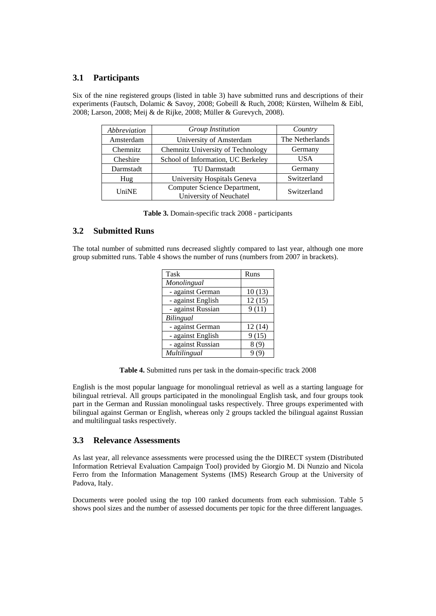# **3.1 Participants**

Six of the nine registered groups (listed in table 3) have submitted runs and descriptions of their experiments (Fautsch, Dolamic & Savoy, 2008; Gobeill & Ruch, 2008; Kürsten, Wilhelm & Eibl, 2008; Larson, 2008; Meij & de Rijke, 2008; Müller & Gurevych, 2008).

| Abbreviation | Group Institution                                       | Country         |
|--------------|---------------------------------------------------------|-----------------|
| Amsterdam    | University of Amsterdam                                 | The Netherlands |
| Chemnitz     | Chemnitz University of Technology                       | Germany         |
| Cheshire     | School of Information, UC Berkeley                      | <b>USA</b>      |
| Darmstadt    | <b>TU Darmstadt</b>                                     | Germany         |
| Hug          | University Hospitals Geneva                             | Switzerland     |
| UniNE        | Computer Science Department,<br>University of Neuchatel | Switzerland     |

|  |  |  |  |  | Table 3. Domain-specific track 2008 - participants |
|--|--|--|--|--|----------------------------------------------------|
|--|--|--|--|--|----------------------------------------------------|

### **3.2 Submitted Runs**

The total number of submitted runs decreased slightly compared to last year, although one more group submitted runs. Table 4 shows the number of runs (numbers from 2007 in brackets).

| Task              | Runs   |
|-------------------|--------|
| Monolingual       |        |
| - against German  | 10(13) |
| - against English | 12(15) |
| - against Russian | 9(11)  |
| Bilingual         |        |
| - against German  | 12(14) |
| - against English | 9(15)  |
| - against Russian | 8(9)   |
| Multilingual      |        |

**Table 4.** Submitted runs per task in the domain-specific track 2008

English is the most popular language for monolingual retrieval as well as a starting language for bilingual retrieval. All groups participated in the monolingual English task, and four groups took part in the German and Russian monolingual tasks respectively. Three groups experimented with bilingual against German or English, whereas only 2 groups tackled the bilingual against Russian and multilingual tasks respectively.

# **3.3 Relevance Assessments**

As last year, all relevance assessments were processed using the the DIRECT system (Distributed Information Retrieval Evaluation Campaign Tool) provided by Giorgio M. Di Nunzio and Nicola Ferro from the Information Management Systems (IMS) Research Group at the University of Padova, Italy.

Documents were pooled using the top 100 ranked documents from each submission. Table 5 shows pool sizes and the number of assessed documents per topic for the three different languages.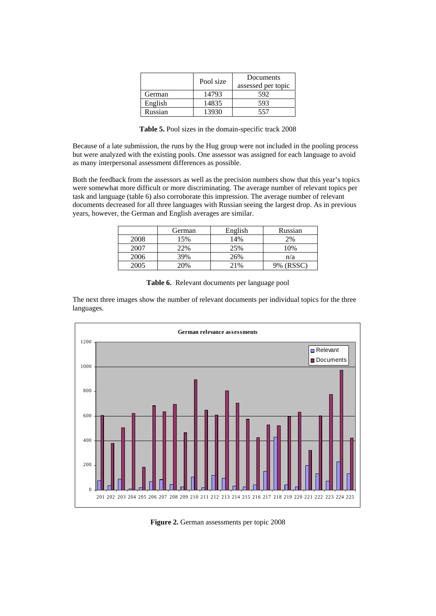|         | Pool size | Documents<br>assessed per topic |
|---------|-----------|---------------------------------|
| German  | 14793     | 592                             |
| English | 14835     | 593                             |
| Russian | 13930     | 557                             |

**Table 5.** Pool sizes in the domain-specific track 2008

Because of a late submission, the runs by the Hug group were not included in the pooling process but were analyzed with the existing pools. One assessor was assigned for each language to avoid as many interpersonal assessment differences as possible.

Both the feedback from the assessors as well as the precision numbers show that this year's topics were somewhat more difficult or more discriminating. The average number of relevant topics per task and language (table 6) also corroborate this impression. The average number of relevant documents decreased for all three languages with Russian seeing the largest drop. As in previous years, however, the German and English averages are similar.

|      | German | English | Russian   |
|------|--------|---------|-----------|
| 2008 | 15%    | 14%     | 2%        |
| 2007 | 22%    | 25%     | 10%       |
| 2006 | 39%    | 26%     | n/a       |
| 2005 | 20%    | 21%     | 9% (RSSC) |

**Table 6.** Relevant documents per language pool

The next three images show the number of relevant documents per individual topics for the three languages.



**Figure 2.** German assessments per topic 2008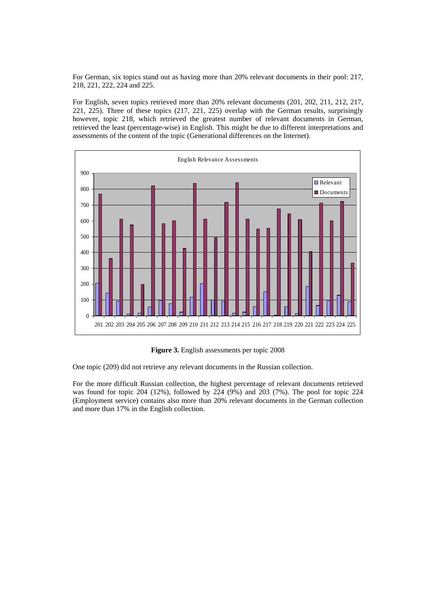For German, six topics stand out as having more than 20% relevant documents in their pool: 217, 218, 221, 222, 224 and 225.

For English, seven topics retrieved more than 20% relevant documents (201, 202, 211, 212, 217, 221, 225). Three of these topics (217, 221, 225) overlap with the German results, surprisingly however, topic 218, which retrieved the greatest number of relevant documents in German, retrieved the least (percentage-wise) in English. This might be due to different interpretations and assessments of the content of the topic (Generational differences on the Internet).



**Figure 3.** English assessments per topic 2008

One topic (209) did not retrieve any relevant documents in the Russian collection.

For the more difficult Russian collection, the highest percentage of relevant documents retrieved was found for topic 204 (12%), followed by 224 (9%) and 203 (7%). The pool for topic 224 (Employment service) contains also more than 20% relevant documents in the German collection and more than 17% in the English collection.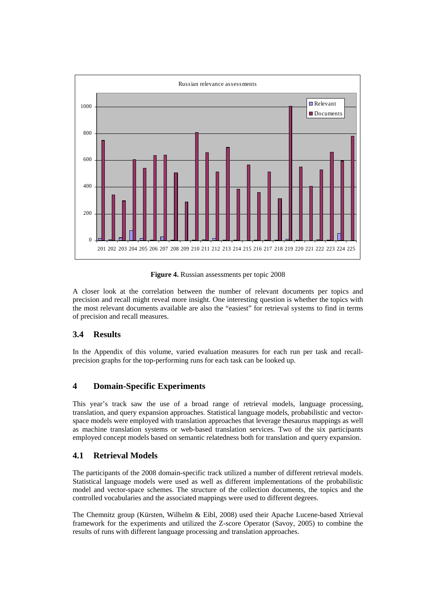

**Figure 4.** Russian assessments per topic 2008

A closer look at the correlation between the number of relevant documents per topics and precision and recall might reveal more insight. One interesting question is whether the topics with the most relevant documents available are also the "easiest" for retrieval systems to find in terms of precision and recall measures.

# **3.4 Results**

In the Appendix of this volume, varied evaluation measures for each run per task and recallprecision graphs for the top-performing runs for each task can be looked up.

### **4 Domain-Specific Experiments**

This year's track saw the use of a broad range of retrieval models, language processing, translation, and query expansion approaches. Statistical language models, probabilistic and vectorspace models were employed with translation approaches that leverage thesaurus mappings as well as machine translation systems or web-based translation services. Two of the six participants employed concept models based on semantic relatedness both for translation and query expansion.

### **4.1 Retrieval Models**

The participants of the 2008 domain-specific track utilized a number of different retrieval models. Statistical language models were used as well as different implementations of the probabilistic model and vector-space schemes. The structure of the collection documents, the topics and the controlled vocabularies and the associated mappings were used to different degrees.

The Chemnitz group (Kürsten, Wilhelm & Eibl, 2008) used their Apache Lucene-based Xtrieval framework for the experiments and utilized the Z-score Operator (Savoy, 2005) to combine the results of runs with different language processing and translation approaches.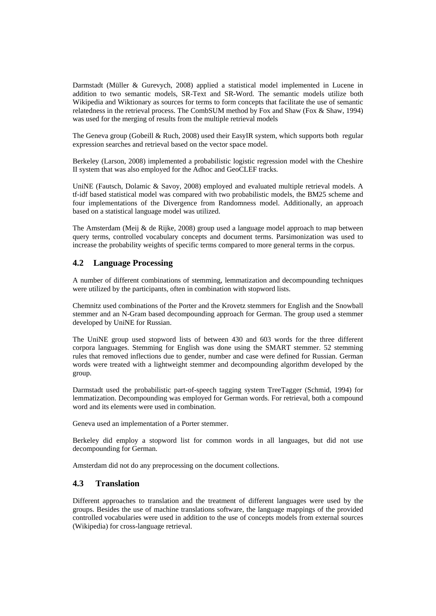Darmstadt (Müller & Gurevych, 2008) applied a statistical model implemented in Lucene in addition to two semantic models, SR-Text and SR-Word. The semantic models utilize both Wikipedia and Wiktionary as sources for terms to form concepts that facilitate the use of semantic relatedness in the retrieval process. The CombSUM method by Fox and Shaw (Fox & Shaw, 1994) was used for the merging of results from the multiple retrieval models

The Geneva group (Gobeill & Ruch, 2008) used their EasyIR system, which supports both regular expression searches and retrieval based on the vector space model.

Berkeley (Larson, 2008) implemented a probabilistic logistic regression model with the Cheshire II system that was also employed for the Adhoc and GeoCLEF tracks.

UniNE (Fautsch, Dolamic & Savoy, 2008) employed and evaluated multiple retrieval models. A tf-idf based statistical model was compared with two probabilistic models, the BM25 scheme and four implementations of the Divergence from Randomness model. Additionally, an approach based on a statistical language model was utilized.

The Amsterdam (Meij  $\&$  de Rijke, 2008) group used a language model approach to map between query terms, controlled vocabulary concepts and document terms. Parsimonization was used to increase the probability weights of specific terms compared to more general terms in the corpus.

# **4.2 Language Processing**

A number of different combinations of stemming, lemmatization and decompounding techniques were utilized by the participants, often in combination with stopword lists.

Chemnitz used combinations of the Porter and the Krovetz stemmers for English and the Snowball stemmer and an N-Gram based decompounding approach for German. The group used a stemmer developed by UniNE for Russian.

The UniNE group used stopword lists of between 430 and 603 words for the three different corpora languages. Stemming for English was done using the SMART stemmer. 52 stemming rules that removed inflections due to gender, number and case were defined for Russian. German words were treated with a lightweight stemmer and decompounding algorithm developed by the group.

Darmstadt used the probabilistic part-of-speech tagging system TreeTagger (Schmid, 1994) for lemmatization. Decompounding was employed for German words. For retrieval, both a compound word and its elements were used in combination.

Geneva used an implementation of a Porter stemmer.

Berkeley did employ a stopword list for common words in all languages, but did not use decompounding for German.

Amsterdam did not do any preprocessing on the document collections.

### **4.3 Translation**

Different approaches to translation and the treatment of different languages were used by the groups. Besides the use of machine translations software, the language mappings of the provided controlled vocabularies were used in addition to the use of concepts models from external sources (Wikipedia) for cross-language retrieval.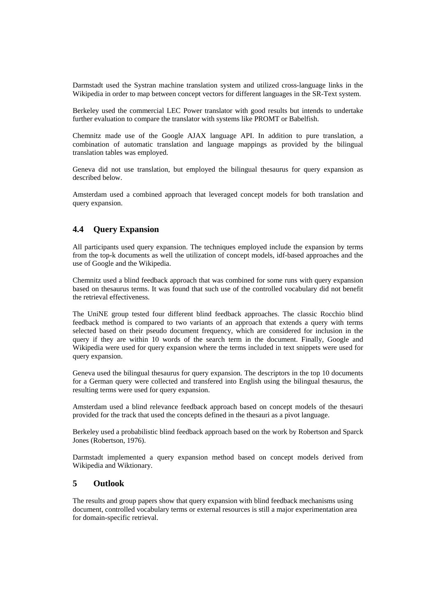Darmstadt used the Systran machine translation system and utilized cross-language links in the Wikipedia in order to map between concept vectors for different languages in the SR-Text system.

Berkeley used the commercial LEC Power translator with good results but intends to undertake further evaluation to compare the translator with systems like PROMT or Babelfish.

Chemnitz made use of the Google AJAX language API. In addition to pure translation, a combination of automatic translation and language mappings as provided by the bilingual translation tables was employed.

Geneva did not use translation, but employed the bilingual thesaurus for query expansion as described below.

Amsterdam used a combined approach that leveraged concept models for both translation and query expansion.

# **4.4 Query Expansion**

All participants used query expansion. The techniques employed include the expansion by terms from the top-k documents as well the utilization of concept models, idf-based approaches and the use of Google and the Wikipedia.

Chemnitz used a blind feedback approach that was combined for some runs with query expansion based on thesaurus terms. It was found that such use of the controlled vocabulary did not benefit the retrieval effectiveness.

The UniNE group tested four different blind feedback approaches. The classic Rocchio blind feedback method is compared to two variants of an approach that extends a query with terms selected based on their pseudo document frequency, which are considered for inclusion in the query if they are within 10 words of the search term in the document. Finally, Google and Wikipedia were used for query expansion where the terms included in text snippets were used for query expansion.

Geneva used the bilingual thesaurus for query expansion. The descriptors in the top 10 documents for a German query were collected and transfered into English using the bilingual thesaurus, the resulting terms were used for query expansion.

Amsterdam used a blind relevance feedback approach based on concept models of the thesauri provided for the track that used the concepts defined in the thesauri as a pivot language.

Berkeley used a probabilistic blind feedback approach based on the work by Robertson and Sparck Jones (Robertson, 1976).

Darmstadt implemented a query expansion method based on concept models derived from Wikipedia and Wiktionary.

#### **5 Outlook**

The results and group papers show that query expansion with blind feedback mechanisms using document, controlled vocabulary terms or external resources is still a major experimentation area for domain-specific retrieval.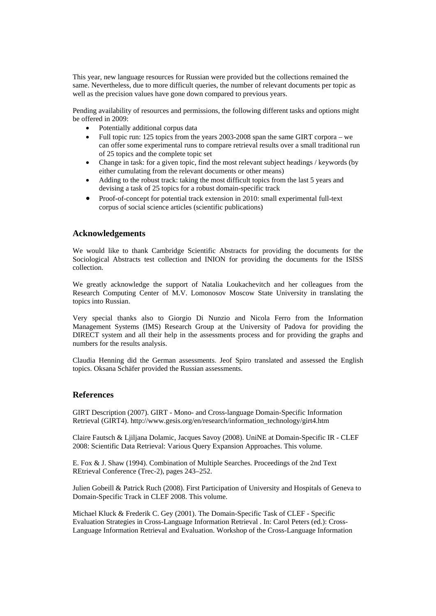This year, new language resources for Russian were provided but the collections remained the same. Nevertheless, due to more difficult queries, the number of relevant documents per topic as well as the precision values have gone down compared to previous years.

Pending availability of resources and permissions, the following different tasks and options might be offered in 2009:

- Potentially additional corpus data
- Full topic run: 125 topics from the years 2003-2008 span the same GIRT corpora we can offer some experimental runs to compare retrieval results over a small traditional run of 25 topics and the complete topic set
- Change in task: for a given topic, find the most relevant subject headings / keywords (by either cumulating from the relevant documents or other means)
- Adding to the robust track: taking the most difficult topics from the last 5 years and devising a task of 25 topics for a robust domain-specific track
- Proof-of-concept for potential track extension in 2010: small experimental full-text corpus of social science articles (scientific publications)

### **Acknowledgements**

We would like to thank Cambridge Scientific Abstracts for providing the documents for the Sociological Abstracts test collection and INION for providing the documents for the ISISS collection.

We greatly acknowledge the support of Natalia Loukachevitch and her colleagues from the Research Computing Center of M.V. Lomonosov Moscow State University in translating the topics into Russian.

Very special thanks also to Giorgio Di Nunzio and Nicola Ferro from the Information Management Systems (IMS) Research Group at the University of Padova for providing the DIRECT system and all their help in the assessments process and for providing the graphs and numbers for the results analysis.

Claudia Henning did the German assessments. Jeof Spiro translated and assessed the English topics. Oksana Schäfer provided the Russian assessments.

#### **References**

GIRT Description (2007). GIRT - Mono- and Cross-language Domain-Specific Information Retrieval (GIRT4). http://www.gesis.org/en/research/information\_technology/girt4.htm

Claire Fautsch & Ljiljana Dolamic, Jacques Savoy (2008). UniNE at Domain-Specific IR - CLEF 2008: Scientific Data Retrieval: Various Query Expansion Approaches. This volume.

E. Fox & J. Shaw (1994). Combination of Multiple Searches. Proceedings of the 2nd Text REtrieval Conference (Trec-2), pages 243–252.

Julien Gobeill & Patrick Ruch (2008). First Participation of University and Hospitals of Geneva to Domain-Specific Track in CLEF 2008. This volume.

Michael Kluck & Frederik C. Gey (2001). The Domain-Specific Task of CLEF - Specific Evaluation Strategies in Cross-Language Information Retrieval . In: Carol Peters (ed.): Cross-Language Information Retrieval and Evaluation. Workshop of the Cross-Language Information